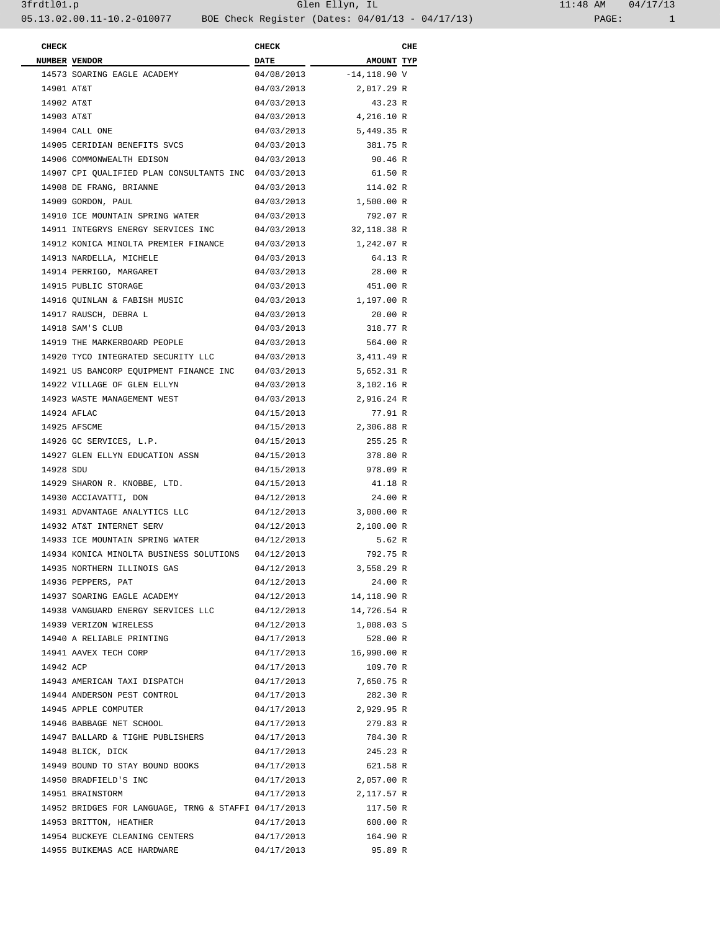| <b>CHECK</b> |                                                      | <b>CHECK</b> |                | CHE |
|--------------|------------------------------------------------------|--------------|----------------|-----|
|              | NUMBER VENDOR                                        | <b>DATE</b>  | AMOUNT TYP     |     |
|              | 14573 SOARING EAGLE ACADEMY                          | 04/08/2013   | $-14,118.90$ V |     |
| 14901 AT&T   |                                                      | 04/03/2013   | 2,017.29 R     |     |
| 14902 AT&T   |                                                      | 04/03/2013   | 43.23 R        |     |
| 14903 AT&T   |                                                      | 04/03/2013   | 4,216.10 R     |     |
|              | 14904 CALL ONE                                       | 04/03/2013   | 5,449.35 R     |     |
|              | 14905 CERIDIAN BENEFITS SVCS                         | 04/03/2013   | 381.75 R       |     |
|              | 14906 COMMONWEALTH EDISON                            | 04/03/2013   | 90.46 R        |     |
|              | 14907 CPI QUALIFIED PLAN CONSULTANTS INC 04/03/2013  |              | 61.50 R        |     |
|              | 14908 DE FRANG, BRIANNE                              |              | 114.02 R       |     |
|              |                                                      | 04/03/2013   |                |     |
|              | 14909 GORDON, PAUL                                   | 04/03/2013   | 1,500.00 R     |     |
|              | 14910 ICE MOUNTAIN SPRING WATER                      | 04/03/2013   | 792.07 R       |     |
|              | 14911 INTEGRYS ENERGY SERVICES INC                   | 04/03/2013   | 32,118.38 R    |     |
|              | 14912 KONICA MINOLTA PREMIER FINANCE                 | 04/03/2013   | 1,242.07 R     |     |
|              | 14913 NARDELLA, MICHELE                              | 04/03/2013   | 64.13 R        |     |
|              | 14914 PERRIGO, MARGARET                              | 04/03/2013   | 28.00 R        |     |
|              | 14915 PUBLIC STORAGE                                 | 04/03/2013   | 451.00 R       |     |
|              | 14916 QUINLAN & FABISH MUSIC                         | 04/03/2013   | 1,197.00 R     |     |
|              | 14917 RAUSCH, DEBRA L                                | 04/03/2013   | 20.00 R        |     |
|              | 14918 SAM'S CLUB                                     | 04/03/2013   | 318.77 R       |     |
|              | 14919 THE MARKERBOARD PEOPLE                         | 04/03/2013   | 564.00 R       |     |
|              | 14920 TYCO INTEGRATED SECURITY LLC                   | 04/03/2013   | 3,411.49 R     |     |
|              | 14921 US BANCORP EQUIPMENT FINANCE INC               | 04/03/2013   | 5,652.31 R     |     |
|              | 14922 VILLAGE OF GLEN ELLYN                          | 04/03/2013   | 3,102.16 R     |     |
|              | 14923 WASTE MANAGEMENT WEST                          | 04/03/2013   | 2,916.24 R     |     |
|              | 14924 AFLAC                                          | 04/15/2013   | 77.91 R        |     |
|              | 14925 AFSCME                                         | 04/15/2013   | 2,306.88 R     |     |
|              | 14926 GC SERVICES, L.P.                              | 04/15/2013   | 255.25 R       |     |
|              | 14927 GLEN ELLYN EDUCATION ASSN                      | 04/15/2013   | 378.80 R       |     |
| 14928 SDU    |                                                      | 04/15/2013   | 978.09 R       |     |
|              | 14929 SHARON R. KNOBBE, LTD.                         | 04/15/2013   | 41.18 R        |     |
|              | 14930 ACCIAVATTI, DON                                | 04/12/2013   | 24.00 R        |     |
|              | 14931 ADVANTAGE ANALYTICS LLC                        | 04/12/2013   | 3,000.00 R     |     |
|              | 14932 AT&T INTERNET SERV                             | 04/12/2013   | 2,100.00 R     |     |
|              |                                                      |              |                |     |
|              | 14933 ICE MOUNTAIN SPRING WATER                      | 04/12/2013   | 5.62 R         |     |
|              | 14934 KONICA MINOLTA BUSINESS SOLUTIONS 04/12/2013   |              | 792.75 R       |     |
|              | 14935 NORTHERN ILLINOIS GAS                          | 04/12/2013   | 3,558.29 R     |     |
|              | 14936 PEPPERS, PAT                                   | 04/12/2013   | 24.00 R        |     |
|              | 14937 SOARING EAGLE ACADEMY                          | 04/12/2013   | 14,118.90 R    |     |
|              | 14938 VANGUARD ENERGY SERVICES LLC                   | 04/12/2013   | 14,726.54 R    |     |
|              | 14939 VERIZON WIRELESS                               | 04/12/2013   | 1,008.03 S     |     |
|              | 14940 A RELIABLE PRINTING                            | 04/17/2013   | 528.00 R       |     |
|              | 14941 AAVEX TECH CORP                                | 04/17/2013   | 16,990.00 R    |     |
| 14942 ACP    |                                                      | 04/17/2013   | 109.70 R       |     |
|              | 14943 AMERICAN TAXI DISPATCH                         | 04/17/2013   | 7,650.75 R     |     |
|              | 14944 ANDERSON PEST CONTROL                          | 04/17/2013   | 282.30 R       |     |
|              | 14945 APPLE COMPUTER                                 | 04/17/2013   | 2,929.95 R     |     |
|              | 14946 BABBAGE NET SCHOOL                             | 04/17/2013   | 279.83 R       |     |
|              | 14947 BALLARD & TIGHE PUBLISHERS                     | 04/17/2013   | 784.30 R       |     |
|              | 14948 BLICK, DICK                                    | 04/17/2013   | 245.23 R       |     |
|              | 14949 BOUND TO STAY BOUND BOOKS                      | 04/17/2013   | 621.58 R       |     |
|              | 14950 BRADFIELD'S INC                                | 04/17/2013   | 2,057.00 R     |     |
|              | 14951 BRAINSTORM                                     | 04/17/2013   | 2,117.57 R     |     |
|              | 14952 BRIDGES FOR LANGUAGE, TRNG & STAFFI 04/17/2013 |              | 117.50 R       |     |
|              | 14953 BRITTON, HEATHER                               | 04/17/2013   | 600.00 R       |     |
|              |                                                      |              |                |     |
|              | 14954 BUCKEYE CLEANING CENTERS                       | 04/17/2013   | 164.90 R       |     |
|              | 14955 BUIKEMAS ACE HARDWARE                          | 04/17/2013   | 95.89 R        |     |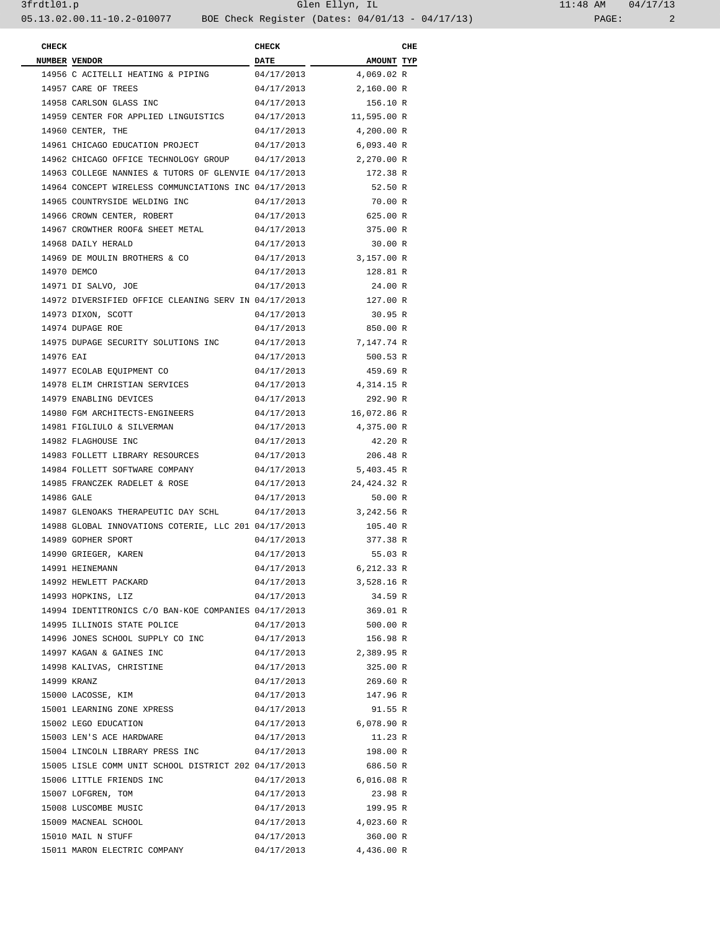| <b>CHECK</b> |                                                      | <b>CHECK</b> |                   | CHE |
|--------------|------------------------------------------------------|--------------|-------------------|-----|
|              | NUMBER VENDOR                                        | <b>DATE</b>  | <b>AMOUNT TYP</b> |     |
|              | 14956 C ACITELLI HEATING & PIPING                    | 04/17/2013   | 4,069.02 R        |     |
|              | 14957 CARE OF TREES                                  | 04/17/2013   | 2,160.00 R        |     |
|              | 14958 CARLSON GLASS INC                              | 04/17/2013   | 156.10 R          |     |
|              | 14959 CENTER FOR APPLIED LINGUISTICS                 | 04/17/2013   | 11,595.00 R       |     |
|              | 14960 CENTER, THE                                    | 04/17/2013   | 4,200.00 R        |     |
|              | 14961 CHICAGO EDUCATION PROJECT                      | 04/17/2013   | 6,093.40 R        |     |
|              | 14962 CHICAGO OFFICE TECHNOLOGY GROUP                | 04/17/2013   | 2,270.00 R        |     |
|              | 14963 COLLEGE NANNIES & TUTORS OF GLENVIE 04/17/2013 |              | 172.38 R          |     |
|              | 14964 CONCEPT WIRELESS COMMUNCIATIONS INC 04/17/2013 |              | 52.50 R           |     |
|              | 14965 COUNTRYSIDE WELDING INC                        | 04/17/2013   | 70.00 R           |     |
|              | 14966 CROWN CENTER, ROBERT                           | 04/17/2013   | 625.00 R          |     |
|              | 14967 CROWTHER ROOF& SHEET METAL                     | 04/17/2013   | 375.00 R          |     |
|              | 14968 DAILY HERALD                                   | 04/17/2013   | 30.00 R           |     |
|              | 14969 DE MOULIN BROTHERS & CO                        | 04/17/2013   | 3,157.00 R        |     |
|              |                                                      |              |                   |     |
|              | 14970 DEMCO                                          | 04/17/2013   | 128.81 R          |     |
|              | 14971 DI SALVO, JOE                                  | 04/17/2013   | 24.00 R           |     |
|              | 14972 DIVERSIFIED OFFICE CLEANING SERV IN 04/17/2013 |              | 127.00 R          |     |
|              | 14973 DIXON, SCOTT                                   | 04/17/2013   | 30.95 R           |     |
|              | 14974 DUPAGE ROE                                     | 04/17/2013   | 850.00 R          |     |
|              | 14975 DUPAGE SECURITY SOLUTIONS INC                  | 04/17/2013   | 7,147.74 R        |     |
| 14976 EAI    |                                                      | 04/17/2013   | 500.53 R          |     |
|              | 14977 ECOLAB EQUIPMENT CO                            | 04/17/2013   | 459.69 R          |     |
|              | 14978 ELIM CHRISTIAN SERVICES                        | 04/17/2013   | 4,314.15 R        |     |
|              | 14979 ENABLING DEVICES                               | 04/17/2013   | 292.90 R          |     |
|              | 14980 FGM ARCHITECTS-ENGINEERS                       | 04/17/2013   | 16,072.86 R       |     |
|              | 14981 FIGLIULO & SILVERMAN                           | 04/17/2013   | 4,375.00 R        |     |
|              | 14982 FLAGHOUSE INC                                  | 04/17/2013   | 42.20 R           |     |
|              | 14983 FOLLETT LIBRARY RESOURCES                      | 04/17/2013   | 206.48 R          |     |
|              | 14984 FOLLETT SOFTWARE COMPANY                       | 04/17/2013   | 5,403.45 R        |     |
|              | 14985 FRANCZEK RADELET & ROSE                        | 04/17/2013   | 24,424.32 R       |     |
| 14986 GALE   |                                                      | 04/17/2013   | 50.00 R           |     |
|              | 14987 GLENOAKS THERAPEUTIC DAY SCHL                  | 04/17/2013   | 3,242.56 R        |     |
|              | 14988 GLOBAL INNOVATIONS COTERIE, LLC 201 04/17/2013 |              | 105.40 R          |     |
|              | 14989 GOPHER SPORT                                   | 04/17/2013   | 377.38 R          |     |
|              | 14990 GRIEGER, KAREN                                 | 04/17/2013   | 55.03 R           |     |
|              | 14991 HEINEMANN                                      | 04/17/2013   | 6,212.33 R        |     |
|              | 14992 HEWLETT PACKARD                                | 04/17/2013   | 3,528.16 R        |     |
|              | 14993 HOPKINS, LIZ                                   | 04/17/2013   | 34.59 R           |     |
|              | 14994 IDENTITRONICS C/O BAN-KOE COMPANIES 04/17/2013 |              | 369.01 R          |     |
|              | 14995 ILLINOIS STATE POLICE                          | 04/17/2013   | 500.00 R          |     |
|              | 14996 JONES SCHOOL SUPPLY CO INC                     | 04/17/2013   | 156.98 R          |     |
|              | 14997 KAGAN & GAINES INC                             | 04/17/2013   | 2,389.95 R        |     |
|              | 14998 KALIVAS, CHRISTINE                             | 04/17/2013   | 325.00 R          |     |
|              | 14999 KRANZ                                          |              |                   |     |
|              |                                                      | 04/17/2013   | 269.60 R          |     |
|              | 15000 LACOSSE, KIM                                   | 04/17/2013   | 147.96 R          |     |
|              | 15001 LEARNING ZONE XPRESS                           | 04/17/2013   | 91.55 R           |     |
|              | 15002 LEGO EDUCATION                                 | 04/17/2013   | 6,078.90 R        |     |
|              | 15003 LEN'S ACE HARDWARE                             | 04/17/2013   | 11.23 R           |     |
|              | 15004 LINCOLN LIBRARY PRESS INC                      | 04/17/2013   | 198.00 R          |     |
|              | 15005 LISLE COMM UNIT SCHOOL DISTRICT 202 04/17/2013 |              | 686.50 R          |     |
|              | 15006 LITTLE FRIENDS INC                             | 04/17/2013   | 6,016.08 R        |     |
|              | 15007 LOFGREN, TOM                                   | 04/17/2013   | 23.98 R           |     |
|              | 15008 LUSCOMBE MUSIC                                 | 04/17/2013   | 199.95 R          |     |
|              | 15009 MACNEAL SCHOOL                                 | 04/17/2013   | 4,023.60 R        |     |
|              | 15010 MAIL N STUFF                                   | 04/17/2013   | 360.00 R          |     |
|              | 15011 MARON ELECTRIC COMPANY                         | 04/17/2013   | 4,436.00 R        |     |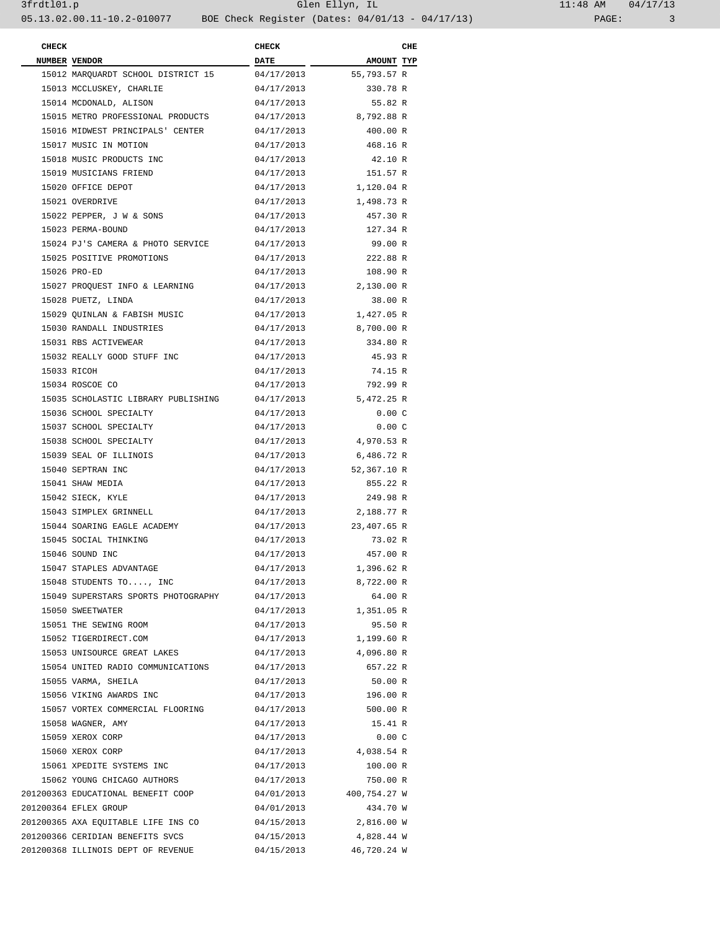| <b>CHECK</b> |                                     | <b>CHECK</b> |              | CHE |
|--------------|-------------------------------------|--------------|--------------|-----|
|              | NUMBER VENDOR                       | <b>DATE</b>  | AMOUNT TYP   |     |
|              | 15012 MARQUARDT SCHOOL DISTRICT 15  | 04/17/2013   | 55,793.57 R  |     |
|              | 15013 MCCLUSKEY, CHARLIE            | 04/17/2013   | 330.78 R     |     |
|              | 15014 MCDONALD, ALISON              | 04/17/2013   | 55.82 R      |     |
|              | 15015 METRO PROFESSIONAL PRODUCTS   | 04/17/2013   | 8,792.88 R   |     |
|              | 15016 MIDWEST PRINCIPALS' CENTER    | 04/17/2013   | 400.00 R     |     |
|              | 15017 MUSIC IN MOTION               | 04/17/2013   | 468.16 R     |     |
|              | 15018 MUSIC PRODUCTS INC            | 04/17/2013   | 42.10 R      |     |
|              | 15019 MUSICIANS FRIEND              | 04/17/2013   | 151.57 R     |     |
|              | 15020 OFFICE DEPOT                  | 04/17/2013   | 1,120.04 R   |     |
|              | 15021 OVERDRIVE                     | 04/17/2013   | 1,498.73 R   |     |
|              | 15022 PEPPER, J W & SONS            |              | 457.30 R     |     |
|              | 15023 PERMA-BOUND                   | 04/17/2013   |              |     |
|              |                                     | 04/17/2013   | 127.34 R     |     |
|              | 15024 PJ'S CAMERA & PHOTO SERVICE   | 04/17/2013   | 99.00 R      |     |
|              | 15025 POSITIVE PROMOTIONS           | 04/17/2013   | 222.88 R     |     |
|              | 15026 PRO-ED                        | 04/17/2013   | 108.90 R     |     |
|              | 15027 PROQUEST INFO & LEARNING      | 04/17/2013   | 2,130.00 R   |     |
|              | 15028 PUETZ, LINDA                  | 04/17/2013   | 38.00 R      |     |
|              | 15029 QUINLAN & FABISH MUSIC        | 04/17/2013   | 1,427.05 R   |     |
|              | 15030 RANDALL INDUSTRIES            | 04/17/2013   | 8,700.00 R   |     |
|              | 15031 RBS ACTIVEWEAR                | 04/17/2013   | 334.80 R     |     |
|              | 15032 REALLY GOOD STUFF INC         | 04/17/2013   | 45.93 R      |     |
|              | 15033 RICOH                         | 04/17/2013   | 74.15 R      |     |
|              | 15034 ROSCOE CO                     | 04/17/2013   | 792.99 R     |     |
|              | 15035 SCHOLASTIC LIBRARY PUBLISHING | 04/17/2013   | 5,472.25 R   |     |
|              | 15036 SCHOOL SPECIALTY              | 04/17/2013   | 0.00C        |     |
|              | 15037 SCHOOL SPECIALTY              | 04/17/2013   | 0.00C        |     |
|              | 15038 SCHOOL SPECIALTY              | 04/17/2013   | 4,970.53 R   |     |
|              | 15039 SEAL OF ILLINOIS              | 04/17/2013   | 6,486.72 R   |     |
|              | 15040 SEPTRAN INC                   | 04/17/2013   | 52,367.10 R  |     |
|              | 15041 SHAW MEDIA                    | 04/17/2013   | 855.22 R     |     |
|              | 15042 SIECK, KYLE                   | 04/17/2013   | 249.98 R     |     |
|              | 15043 SIMPLEX GRINNELL              | 04/17/2013   | 2,188.77 R   |     |
|              | 15044 SOARING EAGLE ACADEMY         | 04/17/2013   | 23,407.65 R  |     |
|              | 15045 SOCIAL THINKING               | 04/17/2013   | 73.02 R      |     |
|              | 15046 SOUND INC                     | 04/17/2013   | 457.00 R     |     |
|              | 15047 STAPLES ADVANTAGE             | 04/17/2013   | 1,396.62 R   |     |
|              | 15048 STUDENTS TO, INC              | 04/17/2013   | 8,722.00 R   |     |
|              | 15049 SUPERSTARS SPORTS PHOTOGRAPHY | 04/17/2013   | 64.00 R      |     |
|              | 15050 SWEETWATER                    | 04/17/2013   | 1,351.05 R   |     |
|              | 15051 THE SEWING ROOM               | 04/17/2013   | 95.50 R      |     |
|              | 15052 TIGERDIRECT.COM               | 04/17/2013   | 1,199.60 R   |     |
|              | 15053 UNISOURCE GREAT LAKES         | 04/17/2013   | 4,096.80 R   |     |
|              | 15054 UNITED RADIO COMMUNICATIONS   | 04/17/2013   | 657.22 R     |     |
|              | 15055 VARMA, SHEILA                 | 04/17/2013   | 50.00 R      |     |
|              | 15056 VIKING AWARDS INC             | 04/17/2013   | 196.00 R     |     |
|              | 15057 VORTEX COMMERCIAL FLOORING    | 04/17/2013   | 500.00 R     |     |
|              | 15058 WAGNER, AMY                   | 04/17/2013   | 15.41 R      |     |
|              | 15059 XEROX CORP                    | 04/17/2013   | 0.00C        |     |
|              | 15060 XEROX CORP                    | 04/17/2013   | 4,038.54 R   |     |
|              | 15061 XPEDITE SYSTEMS INC           | 04/17/2013   | 100.00 R     |     |
|              | 15062 YOUNG CHICAGO AUTHORS         | 04/17/2013   | 750.00 R     |     |
|              | 201200363 EDUCATIONAL BENEFIT COOP  | 04/01/2013   | 400,754.27 W |     |
|              | 201200364 EFLEX GROUP               | 04/01/2013   | 434.70 W     |     |
|              |                                     |              | 2,816.00 W   |     |
|              | 201200365 AXA EQUITABLE LIFE INS CO | 04/15/2013   |              |     |
|              | 201200366 CERIDIAN BENEFITS SVCS    | 04/15/2013   | 4,828.44 W   |     |
|              | 201200368 ILLINOIS DEPT OF REVENUE  | 04/15/2013   | 46,720.24 W  |     |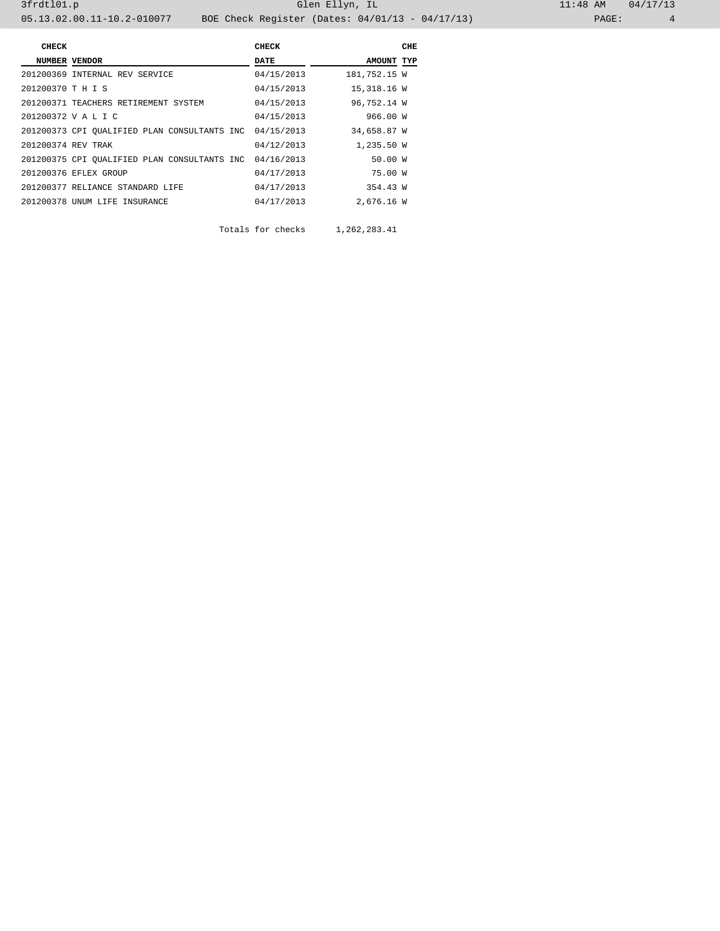| <b>CHECK</b>       |                                              | <b>CHECK</b> |              | CHE |
|--------------------|----------------------------------------------|--------------|--------------|-----|
|                    | NUMBER VENDOR                                | DATE         | AMOUNT TYP   |     |
|                    | 201200369 INTERNAL REV SERVICE               | 04/15/2013   | 181,752.15 W |     |
| 201200370 T H I S  |                                              | 04/15/2013   | 15,318.16 W  |     |
|                    | 201200371 TEACHERS RETIREMENT SYSTEM         | 04/15/2013   | 96,752.14 W  |     |
|                    | 201200372 V A L I C                          | 04/15/2013   | 966.00 W     |     |
|                    | 201200373 CPI OUALIFIED PLAN CONSULTANTS INC | 04/15/2013   | 34,658.87 W  |     |
| 201200374 REV TRAK |                                              | 04/12/2013   | 1,235.50 W   |     |
|                    | 201200375 CPI QUALIFIED PLAN CONSULTANTS INC | 04/16/2013   | 50.00 W      |     |
|                    | 201200376 EFLEX GROUP                        | 04/17/2013   | 75.00 W      |     |
|                    | 201200377 RELIANCE STANDARD LIFE             | 04/17/2013   | 354.43 W     |     |
|                    | 201200378 UNUM LIFE INSURANCE                | 04/17/2013   | 2,676.16 W   |     |

Totals for checks 1,262,283.41